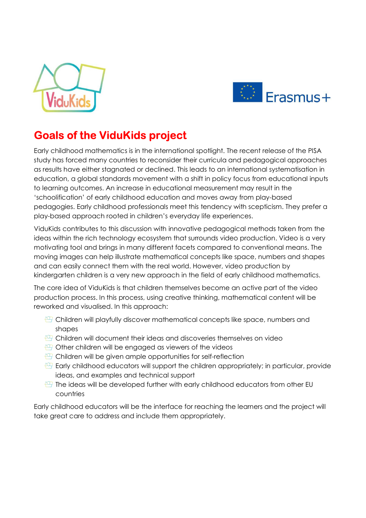



## **Goals of the ViduKids project**

Early childhood mathematics is in the international spotlight. The recent release of the PISA study has forced many countries to reconsider their curricula and pedagogical approaches as results have either stagnated or declined. This leads to an international systematisation in education, a global standards movement with a shift in policy focus from educational inputs to learning outcomes. An increase in educational measurement may result in the 'schoolification' of early childhood education and moves away from play-based pedagogies. Early childhood professionals meet this tendency with scepticism. They prefer a play-based approach rooted in children's everyday life experiences.

ViduKids contributes to this discussion with innovative pedagogical methods taken from the ideas within the rich technology ecosystem that surrounds video production. Video is a very motivating tool and brings in many different facets compared to conventional means. The moving images can help illustrate mathematical concepts like space, numbers and shapes and can easily connect them with the real world. However, video production by kindergarten children is a very new approach in the field of early childhood mathematics.

The core idea of ViduKids is that children themselves become an active part of the video production process. In this process, using creative thinking, mathematical content will be reworked and visualised. In this approach:

- $\bigoplus$  Children will playfully discover mathematical concepts like space, numbers and shapes
- $\mathbb{C}$  Children will document their ideas and discoveries themselves on video
- $\bigoplus$  Other children will be engaged as viewers of the videos
- $\bigoplus$  Children will be given ample opportunities for self-reflection
- $\bigoplus$  Early childhood educators will support the children appropriately; in particular, provide ideas, and examples and technical support
- $\sqrt[41]{2}$  The ideas will be developed further with early childhood educators from other EU countries

Early childhood educators will be the interface for reaching the learners and the project will take great care to address and include them appropriately.